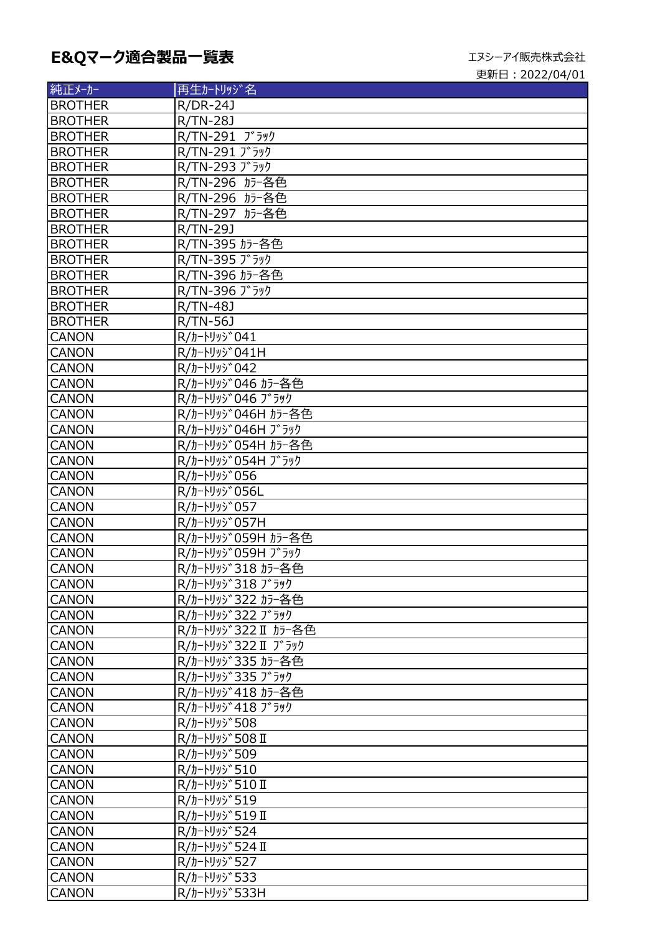## E&Qマーク適合製品一覧表<br>
エヌシーアイ販売株式会社

| 純正メーカー         | 再生カートリッジ名            |
|----------------|----------------------|
| <b>BROTHER</b> | R/DR-24J             |
| <b>BROTHER</b> | R/TN-28J             |
| <b>BROTHER</b> | R/TN-291 ブラック        |
| <b>BROTHER</b> | R/TN-291 ブラック        |
| <b>BROTHER</b> | R/TN-293 ブラック        |
| <b>BROTHER</b> | R/TN-296 カラー各色       |
| <b>BROTHER</b> | R/TN-296 カラー各色       |
| <b>BROTHER</b> | R/TN-297 カラー各色       |
| <b>BROTHER</b> | R/TN-29J             |
| <b>BROTHER</b> | R/TN-395 カラー各色       |
| <b>BROTHER</b> | R/TN-395 ブラック        |
| <b>BROTHER</b> | R/TN-396 カラー各色       |
| <b>BROTHER</b> | R/TN-396 ブラック        |
| <b>BROTHER</b> | R/TN-48J             |
| <b>BROTHER</b> | R/TN-56J             |
| <b>CANON</b>   | R/カートリッジ041          |
| <b>CANON</b>   | R/カートリッジ041H         |
| <b>CANON</b>   | R/カートリッジ042          |
| <b>CANON</b>   | R/カートリッジ046 カラー各色    |
| <b>CANON</b>   | R/カートリッジ046 ブラック     |
| <b>CANON</b>   | R/カートリッジ046H カラー各色   |
| <b>CANON</b>   | R/カートリッジ046H ブラック    |
| <b>CANON</b>   | R/カートリッジ054H カラー各色   |
| <b>CANON</b>   | R/カートリッジ054H ブラック    |
| <b>CANON</b>   | R/カートリッジ056          |
| <b>CANON</b>   | R/カートリッジ056L         |
| <b>CANON</b>   | R/カートリッジ057          |
| <b>CANON</b>   | R/カートリッジ057H         |
| <b>CANON</b>   | R/カートリッジ059H カラー各色   |
| <b>CANON</b>   | R/カートリッジ059H ブラック    |
| <b>CANON</b>   | R/カートリッジ318 カラー各色    |
| <b>CANON</b>   | R/カートリッジ318 ブラック     |
| <b>CANON</b>   | R/カートリッジ322 カラー各色    |
| <b>CANON</b>   | R/カートリッジ322 ブラック     |
| <b>CANON</b>   | R/カートリッジ322 II カラー各色 |
| <b>CANON</b>   | R/カートリッジ322 II ブラック  |
| <b>CANON</b>   | R/カートリッジ335 カラー各色    |
| <b>CANON</b>   | R/カートリッジ335 ブラック     |
| <b>CANON</b>   | R/カートリッジ418 カラー各色    |
| <b>CANON</b>   | R/カートリッジ418 ブラック     |
| <b>CANON</b>   | R/カートリッジ508          |
| <b>CANON</b>   | R/カートリッジ508 II       |
| <b>CANON</b>   | R/カートリッジ509          |
| <b>CANON</b>   | R/カートリッジ510          |
| <b>CANON</b>   | R/カートリッジ510 II       |
| <b>CANON</b>   | R/カートリッジ519          |
| <b>CANON</b>   | R/カートリッジ519 I        |
| <b>CANON</b>   | R/カートリッジ524          |
| <b>CANON</b>   | R/カ-トリッジ524 II       |
| <b>CANON</b>   | R/カートリッジ527          |
| <b>CANON</b>   | R/カートリッジ533          |
| <b>CANON</b>   | R/カートリッジ533H         |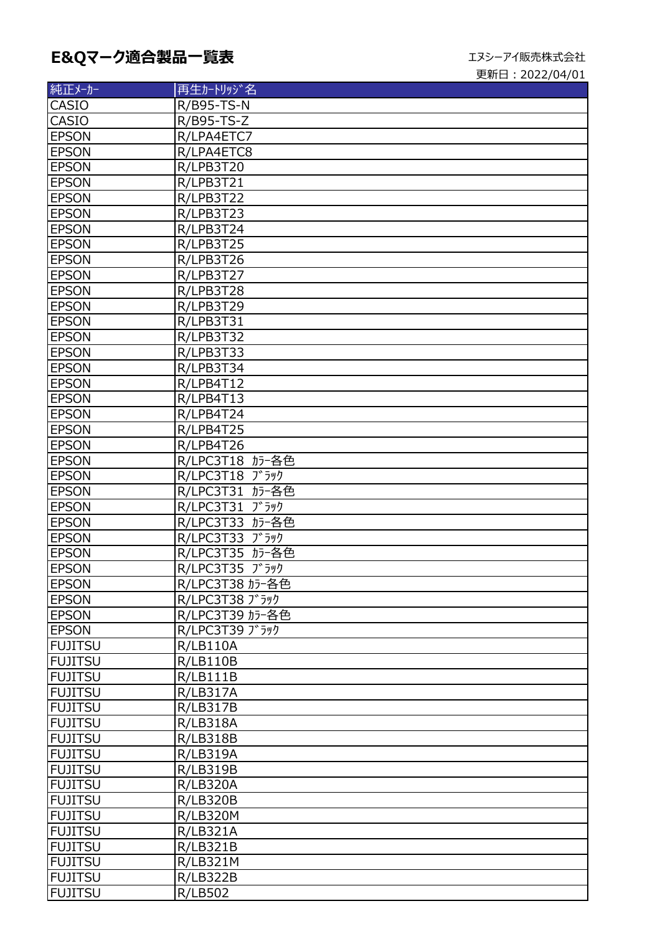## E&Qマーク適合製品一覧表<br>
エヌシーアイ販売株式会社

| 純正メーカー         | 再生カートリッジ名         |
|----------------|-------------------|
| <b>CASIO</b>   | <b>R/B95-TS-N</b> |
| CASIO          | R/B95-TS-Z        |
| <b>EPSON</b>   | R/LPA4ETC7        |
| <b>EPSON</b>   | R/LPA4ETC8        |
| <b>EPSON</b>   | R/LPB3T20         |
| <b>EPSON</b>   | R/LPB3T21         |
| <b>EPSON</b>   | R/LPB3T22         |
| <b>EPSON</b>   | R/LPB3T23         |
| <b>EPSON</b>   | R/LPB3T24         |
| <b>EPSON</b>   | R/LPB3T25         |
| <b>EPSON</b>   | R/LPB3T26         |
| <b>EPSON</b>   | R/LPB3T27         |
| <b>EPSON</b>   | R/LPB3T28         |
| <b>EPSON</b>   | R/LPB3T29         |
| <b>EPSON</b>   | R/LPB3T31         |
| <b>EPSON</b>   | R/LPB3T32         |
| <b>EPSON</b>   | R/LPB3T33         |
| <b>EPSON</b>   | R/LPB3T34         |
| <b>EPSON</b>   | R/LPB4T12         |
| <b>EPSON</b>   | R/LPB4T13         |
| <b>EPSON</b>   | R/LPB4T24         |
| <b>EPSON</b>   | R/LPB4T25         |
| <b>EPSON</b>   | R/LPB4T26         |
| <b>EPSON</b>   | R/LPC3T18 カラー各色   |
| <b>EPSON</b>   | R/LPC3T18 ブラック    |
| <b>EPSON</b>   | R/LPC3T31 カラー各色   |
| <b>EPSON</b>   | R/LPC3T31 ブラック    |
| <b>EPSON</b>   | R/LPC3T33 カラー各色   |
| <b>EPSON</b>   | R/LPC3T33 ブラック    |
| <b>EPSON</b>   | R/LPC3T35 カラー各色   |
| <b>EPSON</b>   | R/LPC3T35 ブラック    |
| <b>EPSON</b>   | R/LPC3T38 カラー各色   |
| <b>EPSON</b>   | R/LPC3T38 ブラック    |
| <b>EPSON</b>   | R/LPC3T39 カラー各色   |
| <b>EPSON</b>   | R/LPC3T39 ブラック    |
| <b>FUJITSU</b> | <b>R/LB110A</b>   |
| <b>FUJITSU</b> | R/LB110B          |
| <b>FUJITSU</b> | R/LB111B          |
| <b>FUJITSU</b> | <b>R/LB317A</b>   |
| <b>FUJITSU</b> | <b>R/LB317B</b>   |
| <b>FUJITSU</b> | R/LB318A          |
| <b>FUJITSU</b> | <b>R/LB318B</b>   |
| <b>FUJITSU</b> | <b>R/LB319A</b>   |
| <b>FUJITSU</b> | <b>R/LB319B</b>   |
| <b>FUJITSU</b> | <b>R/LB320A</b>   |
| <b>FUJITSU</b> | <b>R/LB320B</b>   |
| <b>FUJITSU</b> | <b>R/LB320M</b>   |
| <b>FUJITSU</b> | <b>R/LB321A</b>   |
| <b>FUJITSU</b> | <b>R/LB321B</b>   |
| <b>FUJITSU</b> | <b>R/LB321M</b>   |
| <b>FUJITSU</b> | <b>R/LB322B</b>   |
| <b>FUJITSU</b> | <b>R/LB502</b>    |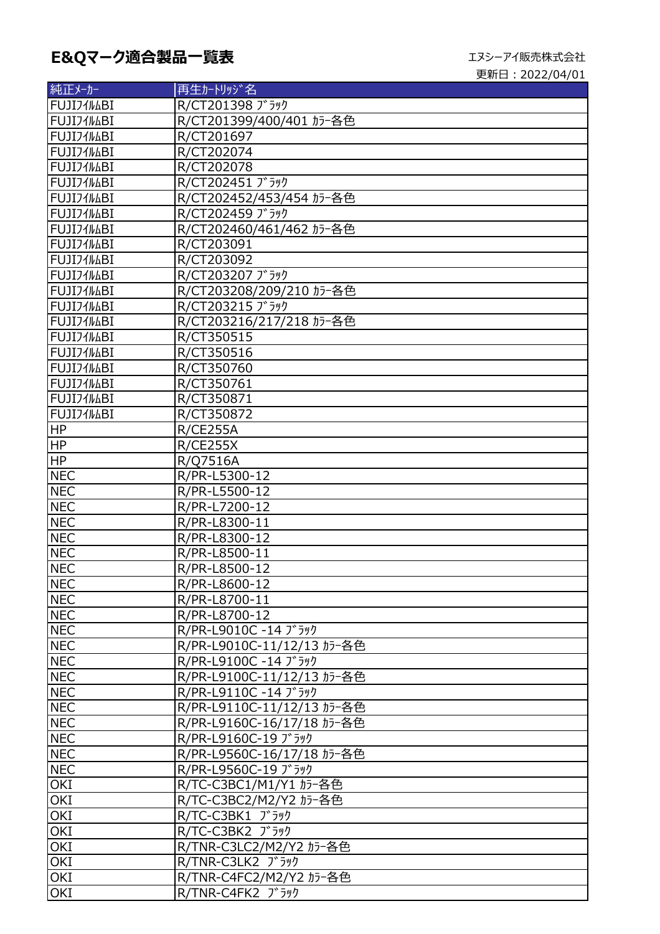| 純正メーカー           | 再生カートリッジ名                  |
|------------------|----------------------------|
| <b>FUJI71MBI</b> | R/CT201398 ブラック            |
| FUJIJ1/LBI       | R/CT201399/400/401 カラー各色   |
| <b>FUJI71MBI</b> | R/CT201697                 |
| FUJI71MBI        | R/CT202074                 |
| FUJI71MBI        | R/CT202078                 |
| FUJIJ1/MBI       | R/CT202451 ブラック            |
| FUJIJ1/MBI       | R/CT202452/453/454 カラー各色   |
| FUJIJ1/LBI       | R/CT202459 ブラック            |
| <b>FUJI71MBI</b> | R/CT202460/461/462 カラー各色   |
| FUJI71MBI        | R/CT203091                 |
| FUJI71MBI        | R/CT203092                 |
| FUJIJ1/MBI       | R/CT203207 ブラック            |
| FUJIJ1/MBI       | R/CT203208/209/210 カラー各色   |
| FUJI71MBI        | R/CT203215 ) 5yJ           |
| FUJIJ1MABI       | R/CT203216/217/218 カラー各色   |
| FUJIJ1MABI       | R/CT350515                 |
| FUJI71MBI        | R/CT350516                 |
| FUJIJ1/MBI       | R/CT350760                 |
| FUJI71MBI        | R/CT350761                 |
| FUJI71MBI        | R/CT350871                 |
| FUJI71MBI        | R/CT350872                 |
| HP               | <b>R/CE255A</b>            |
| HP               | <b>R/CE255X</b>            |
| <b>HP</b>        | R/Q7516A                   |
| <b>NEC</b>       | R/PR-L5300-12              |
| <b>NEC</b>       | R/PR-L5500-12              |
| <b>NEC</b>       | R/PR-L7200-12              |
| <b>NEC</b>       | R/PR-L8300-11              |
| <b>NEC</b>       | R/PR-L8300-12              |
| <b>NEC</b>       | R/PR-L8500-11              |
| <b>NEC</b>       | R/PR-L8500-12              |
| <b>NEC</b>       | R/PR-L8600-12              |
| <b>NEC</b>       | R/PR-L8700-11              |
| <b>NEC</b>       | R/PR-L8700-12              |
| <b>NEC</b>       | R/PR-L9010C -14 ブラック       |
| <b>NEC</b>       | R/PR-L9010C-11/12/13 カラー各色 |
| <b>NEC</b>       | R/PR-L9100C -14 ブラック       |
| <b>NEC</b>       | R/PR-L9100C-11/12/13 カラー各色 |
| <b>NEC</b>       | R/PR-L9110C -14 ブラック       |
| <b>NEC</b>       | R/PR-L9110C-11/12/13 カラー各色 |
| <b>NEC</b>       | R/PR-L9160C-16/17/18 カラー各色 |
| <b>NEC</b>       | R/PR-L9160C-19 ブラック        |
| <b>NEC</b>       | R/PR-L9560C-16/17/18 カラー各色 |
| <b>NEC</b>       | R/PR-L9560C-19 ブラック        |
| OKI              | R/TC-C3BC1/M1/Y1 カラー各色     |
| OKI              | R/TC-C3BC2/M2/Y2 カラー各色     |
| OKI              | R/TC-C3BK1 ブラック            |
| OKI              | R/TC-C3BK2 ブラック            |
| OKI              | R/TNR-C3LC2/M2/Y2 カラー各色    |
| OKI              | R/TNR-C3LK2 ブラック           |
| OKI              | R/TNR-C4FC2/M2/Y2 カラー各色    |
| OKI              | R/TNR-C4FK2 ブラック           |